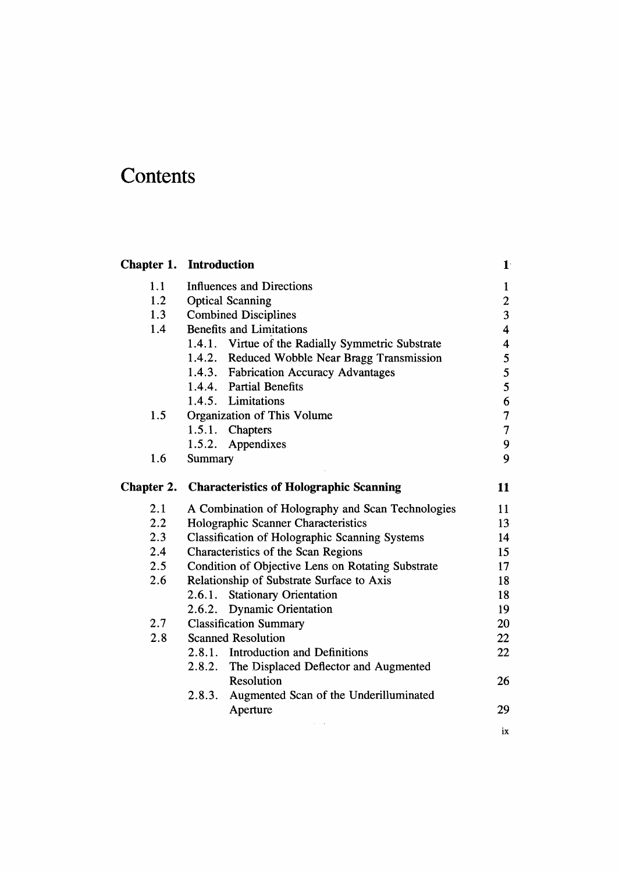## **Contents**

|            | <b>Chapter 1. Introduction</b>                        | $1^{\cdot}$             |  |  |  |
|------------|-------------------------------------------------------|-------------------------|--|--|--|
| 1.1        | Influences and Directions                             | $\mathbf{1}$            |  |  |  |
| 1.2        | <b>Optical Scanning</b>                               |                         |  |  |  |
| 1.3        | <b>Combined Disciplines</b>                           | $\overline{\mathbf{3}}$ |  |  |  |
| 1.4        | <b>Benefits and Limitations</b>                       | $\overline{\mathbf{4}}$ |  |  |  |
|            | 1.4.1. Virtue of the Radially Symmetric Substrate     | 4                       |  |  |  |
|            | 1.4.2. Reduced Wobble Near Bragg Transmission         | 5                       |  |  |  |
|            | 1.4.3. Fabrication Accuracy Advantages                | 5                       |  |  |  |
|            | 1.4.4. Partial Benefits                               | 5                       |  |  |  |
|            | 1.4.5. Limitations                                    | 6                       |  |  |  |
| 1.5        | Organization of This Volume                           | $\overline{7}$          |  |  |  |
|            | 1.5.1. Chapters                                       | $\overline{7}$          |  |  |  |
|            | 1.5.2. Appendixes                                     | 9                       |  |  |  |
| 1.6        | Summary                                               | 9                       |  |  |  |
| Chapter 2. | <b>Characteristics of Holographic Scanning</b>        | 11                      |  |  |  |
| 2.1        | A Combination of Holography and Scan Technologies     | 11                      |  |  |  |
| 2.2        | Holographic Scanner Characteristics                   | 13                      |  |  |  |
| 2.3        | <b>Classification of Holographic Scanning Systems</b> | 14                      |  |  |  |
| 2.4        | Characteristics of the Scan Regions                   |                         |  |  |  |
| 2.5        | Condition of Objective Lens on Rotating Substrate     | 17                      |  |  |  |
| 2.6        | Relationship of Substrate Surface to Axis             | 18                      |  |  |  |
|            | 2.6.1. Stationary Orientation                         | 18                      |  |  |  |
|            | 2.6.2. Dynamic Orientation                            | 19                      |  |  |  |
| 2.7        | <b>Classification Summary</b>                         | 20                      |  |  |  |
| 2.8        | <b>Scanned Resolution</b>                             | 22                      |  |  |  |
|            | 2.8.1. Introduction and Definitions                   | 22                      |  |  |  |
|            | 2.8.2. The Displaced Deflector and Augmented          |                         |  |  |  |
|            | Resolution                                            | 26                      |  |  |  |
|            | Augmented Scan of the Underilluminated<br>2.8.3.      |                         |  |  |  |
|            | Aperture                                              | 29                      |  |  |  |
|            |                                                       | ix                      |  |  |  |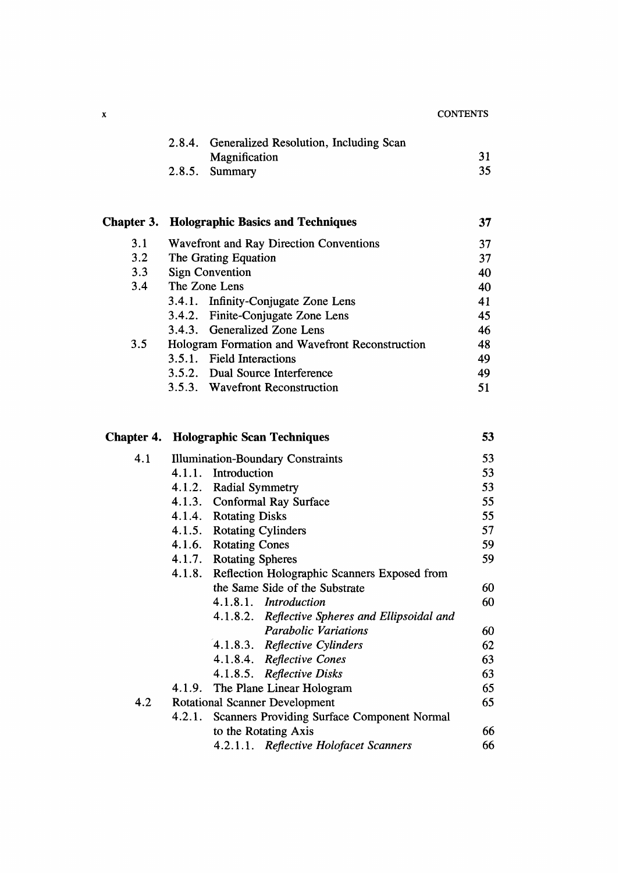| $\boldsymbol{\mathrm{x}}$ |        |                                                     | <b>CONTENTS</b> |  |  |
|---------------------------|--------|-----------------------------------------------------|-----------------|--|--|
|                           |        | 2.8.4. Generalized Resolution, Including Scan       |                 |  |  |
|                           |        | Magnification                                       | 31              |  |  |
|                           | 2.8.5. | Summary                                             | 35 <sub>1</sub> |  |  |
|                           |        |                                                     |                 |  |  |
| Chapter 3.                |        | <b>Holographic Basics and Techniques</b>            | 37              |  |  |
| 3.1                       |        | Wavefront and Ray Direction Conventions             |                 |  |  |
| 3.2                       |        | The Grating Equation                                |                 |  |  |
| 3.3                       |        | <b>Sign Convention</b>                              |                 |  |  |
| 3.4                       |        | The Zone Lens                                       | 40              |  |  |
|                           |        | 3.4.1. Infinity-Conjugate Zone Lens                 | 41              |  |  |
|                           |        | 3.4.2. Finite-Conjugate Zone Lens                   | 45              |  |  |
|                           | 3.4.3. | <b>Generalized Zone Lens</b>                        | 46              |  |  |
| 3.5                       |        | Hologram Formation and Wavefront Reconstruction     | 48              |  |  |
|                           |        | 3.5.1. Field Interactions                           | 49              |  |  |
|                           |        | 3.5.2. Dual Source Interference                     | 49              |  |  |
|                           |        | 3.5.3. Wavefront Reconstruction                     | 51              |  |  |
| Chapter 4.                |        | <b>Holographic Scan Techniques</b>                  | 53              |  |  |
|                           |        |                                                     |                 |  |  |
| 4.1                       |        | <b>Illumination-Boundary Constraints</b>            | 53              |  |  |
|                           |        | 4.1.1. Introduction                                 | 53              |  |  |
|                           |        | 4.1.2. Radial Symmetry                              | 53              |  |  |
|                           |        | 4.1.3. Conformal Ray Surface                        | 55              |  |  |
|                           |        | 4.1.4. Rotating Disks                               | 55              |  |  |
|                           |        | 4.1.5. Rotating Cylinders                           | 57              |  |  |
|                           |        | 4.1.6. Rotating Cones                               | 59              |  |  |
|                           |        | 4.1.7. Rotating Spheres                             | 59              |  |  |
|                           |        | 4.1.8. Reflection Holographic Scanners Exposed from |                 |  |  |
|                           |        | the Same Side of the Substrate                      | 60              |  |  |
|                           |        | 4.1.8.1. Introduction                               | 60              |  |  |
|                           |        | 4.1.8.2. Reflective Spheres and Ellipsoidal and     |                 |  |  |
|                           |        | <b>Parabolic Variations</b>                         | 60              |  |  |
|                           |        | 4.1.8.3. Reflective Cylinders                       | 62              |  |  |
|                           |        | 4.1.8.4. Reflective Cones                           | 63              |  |  |

4.1.8.5. Reflective Disks 63

to the Rotating Axis 66<br>4.2.1.1. Reflective Holofacet Scanners 66

4.1.9. The Plane Linear Hologram 65 4.2 Rotational Scanner Development 65 4.2.1. Scanners Providing Surface Component Normal

4.2.1.1. Reflective Holofacet Scanners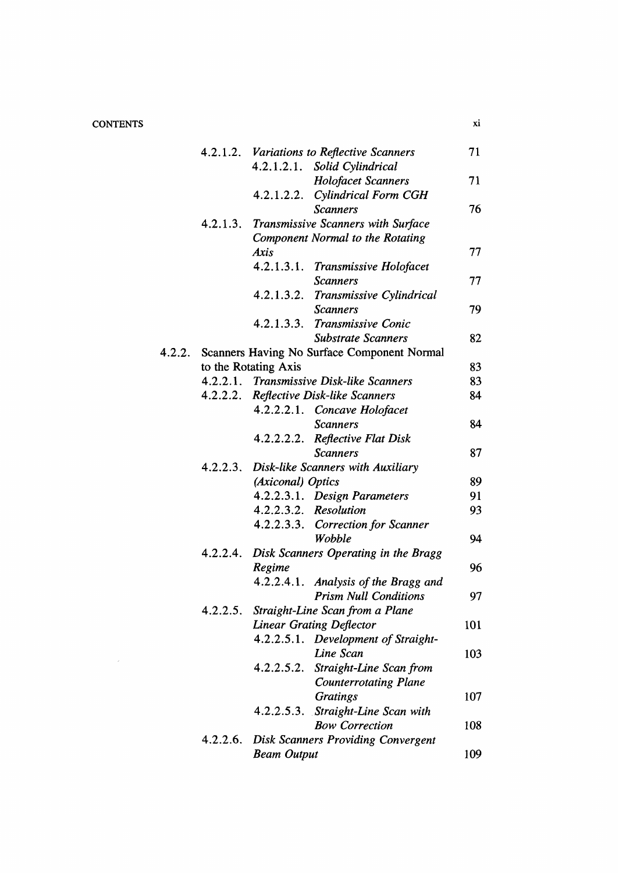## **CONTENTS**

|        | 4.2.1.2. | Variations to Reflective Scanners                                  |                                                       |     |  |
|--------|----------|--------------------------------------------------------------------|-------------------------------------------------------|-----|--|
|        |          | 4.2.1.2.1.                                                         | Solid Cylindrical                                     |     |  |
|        |          |                                                                    | <b>Holofacet Scanners</b>                             | 71  |  |
|        |          | 4.2.1.2.2.                                                         | Cylindrical Form CGH                                  |     |  |
|        |          |                                                                    | <b>Scanners</b>                                       | 76  |  |
|        | 4.2.1.3. |                                                                    | Transmissive Scanners with Surface                    |     |  |
|        |          |                                                                    | Component Normal to the Rotating                      |     |  |
|        |          | <b>Axis</b>                                                        |                                                       | 77  |  |
|        |          |                                                                    | 4.2.1.3.1. Transmissive Holofacet                     |     |  |
|        |          |                                                                    | <b>Scanners</b>                                       | 77  |  |
|        |          | 4.2.1.3.2.                                                         | Transmissive Cylindrical                              |     |  |
|        |          |                                                                    | <b>Scanners</b>                                       | 79  |  |
|        |          | 4.2.1.3.3.                                                         | Transmissive Conic                                    |     |  |
|        |          |                                                                    | <b>Substrate Scanners</b>                             | 82  |  |
| 4.2.2. |          |                                                                    | Scanners Having No Surface Component Normal           |     |  |
|        |          | to the Rotating Axis                                               |                                                       | 83  |  |
|        |          |                                                                    | 4.2.2.1. Transmissive Disk-like Scanners              | 83  |  |
|        |          |                                                                    | 4.2.2.2. Reflective Disk-like Scanners                | 84  |  |
|        |          |                                                                    | 4.2.2.2.1. Concave Holofacet                          |     |  |
|        |          |                                                                    | <b>Scanners</b>                                       | 84  |  |
|        |          | 4.2.2.2.2.                                                         | <b>Reflective Flat Disk</b>                           |     |  |
|        |          |                                                                    | <b>Scanners</b>                                       | 87  |  |
|        | 4.2.2.3. |                                                                    | Disk-like Scanners with Auxiliary                     |     |  |
|        |          | (Axiconal) Optics                                                  |                                                       | 89  |  |
|        |          |                                                                    | 4.2.2.3.1. Design Parameters                          | 91  |  |
|        |          |                                                                    | 4.2.2.3.2. Resolution                                 | 93  |  |
|        |          |                                                                    | 4.2.2.3.3. Correction for Scanner                     |     |  |
|        |          |                                                                    | Wobble                                                | 94  |  |
|        | 4.2.2.4. |                                                                    |                                                       |     |  |
|        |          | Regime                                                             | Disk Scanners Operating in the Bragg                  | 96  |  |
|        |          |                                                                    | 4.2.2.4.1. Analysis of the Bragg and                  |     |  |
|        |          |                                                                    | <b>Prism Null Conditions</b>                          | 97  |  |
|        | 4.2.2.5. |                                                                    |                                                       |     |  |
|        |          | Straight-Line Scan from a Plane<br><b>Linear Grating Deflector</b> |                                                       |     |  |
|        |          |                                                                    | 4.2.2.5.1. Development of Straight-                   | 101 |  |
|        |          |                                                                    | Line Scan                                             | 103 |  |
|        |          | 4.2.2.5.2.                                                         | Straight-Line Scan from                               |     |  |
|        |          |                                                                    | <b>Counterrotating Plane</b>                          |     |  |
|        |          |                                                                    |                                                       | 107 |  |
|        |          |                                                                    | <b>Gratings</b><br>4.2.2.5.3. Straight-Line Scan with |     |  |
|        |          |                                                                    | <b>Bow Correction</b>                                 |     |  |
|        |          |                                                                    |                                                       | 108 |  |
|        | 4.2.2.6. |                                                                    | <b>Disk Scanners Providing Convergent</b>             |     |  |
|        |          | <b>Beam Output</b>                                                 |                                                       | 109 |  |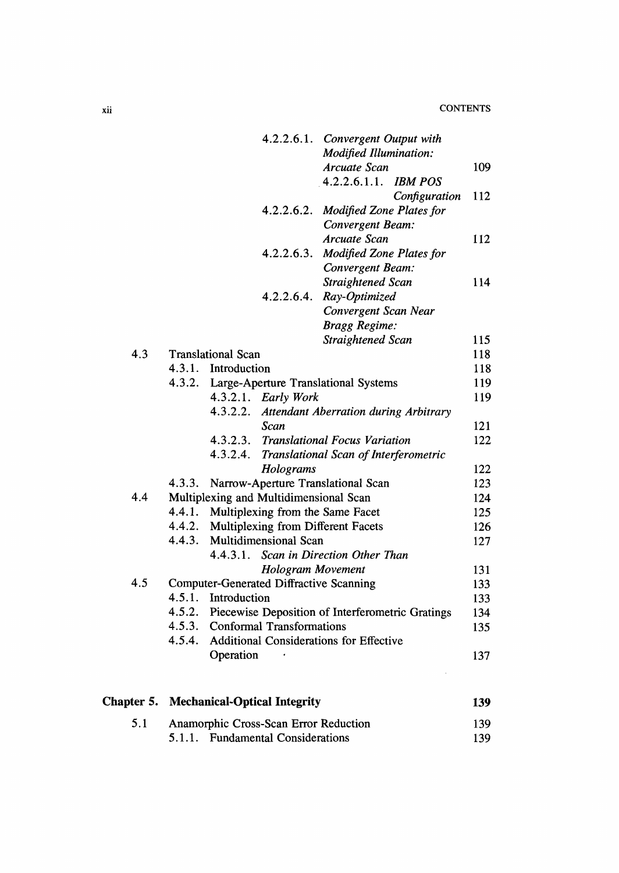|     |                                                |                           |                                                | 4.2.2.6.1. Convergent Output with<br><b>Modified Illumination:</b> |               |     |
|-----|------------------------------------------------|---------------------------|------------------------------------------------|--------------------------------------------------------------------|---------------|-----|
|     |                                                |                           |                                                | Arcuate Scan                                                       |               | 109 |
|     |                                                |                           |                                                | 4.2.2.6.1.1. IBM POS                                               |               |     |
|     |                                                |                           |                                                |                                                                    | Configuration | 112 |
|     |                                                |                           | 4.2.2.6.2.                                     | <b>Modified Zone Plates for</b>                                    |               |     |
|     |                                                |                           |                                                | Convergent Beam:                                                   |               |     |
|     |                                                |                           |                                                | Arcuate Scan                                                       |               | 112 |
|     |                                                |                           | 4.2.2.6.3.                                     | <b>Modified Zone Plates for</b>                                    |               |     |
|     |                                                |                           |                                                | Convergent Beam:                                                   |               |     |
|     |                                                |                           |                                                | Straightened Scan                                                  |               | 114 |
|     |                                                |                           | 4.2.2.6.4.                                     | Ray-Optimized                                                      |               |     |
|     |                                                |                           |                                                | Convergent Scan Near                                               |               |     |
|     |                                                |                           |                                                | <b>Bragg Regime:</b>                                               |               |     |
|     |                                                |                           |                                                | Straightened Scan                                                  |               | 115 |
| 4.3 |                                                | <b>Translational Scan</b> |                                                |                                                                    |               | 118 |
|     |                                                | 4.3.1. Introduction       |                                                |                                                                    |               | 118 |
|     |                                                |                           |                                                | 4.3.2. Large-Aperture Translational Systems                        |               | 119 |
|     |                                                |                           | 4.3.2.1. Early Work                            |                                                                    |               | 119 |
|     |                                                | 4.3.2.2.                  |                                                | Attendant Aberration during Arbitrary                              |               |     |
|     |                                                |                           | Scan                                           |                                                                    |               | 121 |
|     |                                                |                           |                                                | 4.3.2.3. Translational Focus Variation                             |               | 122 |
|     |                                                | 4.3.2.4.                  |                                                | Translational Scan of Interferometric                              |               |     |
|     |                                                |                           | Holograms                                      |                                                                    |               | 122 |
|     | 4.3.3.                                         |                           |                                                | Narrow-Aperture Translational Scan                                 |               | 123 |
| 4.4 | Multiplexing and Multidimensional Scan         |                           |                                                |                                                                    |               | 124 |
|     | 4.4.1.                                         |                           |                                                | Multiplexing from the Same Facet                                   |               | 125 |
|     | 4.4.2.                                         |                           |                                                | Multiplexing from Different Facets                                 |               | 126 |
|     | 4.4.3.                                         |                           | Multidimensional Scan                          |                                                                    |               | 127 |
|     |                                                | 4.4.3.1.                  |                                                | Scan in Direction Other Than                                       |               |     |
|     |                                                |                           | <b>Hologram Movement</b>                       |                                                                    |               | 131 |
| 4.5 | <b>Computer-Generated Diffractive Scanning</b> |                           |                                                |                                                                    |               | 133 |
|     |                                                | 4.5.1. Introduction       |                                                |                                                                    |               | 133 |
|     |                                                |                           |                                                | 4.5.2. Piecewise Deposition of Interferometric Gratings            |               | 134 |
|     |                                                |                           | 4.5.3. Conformal Transformations               |                                                                    |               | 135 |
|     | 4.5.4.                                         |                           |                                                | <b>Additional Considerations for Effective</b>                     |               |     |
|     |                                                | Operation                 |                                                |                                                                    |               | 137 |
|     |                                                |                           | <b>Chapter 5. Mechanical-Optical Integrity</b> |                                                                    |               | 139 |
|     |                                                |                           |                                                |                                                                    |               |     |
| 5.1 |                                                |                           | Anamorphic Cross-Scan Error Reduction          |                                                                    |               | 139 |
|     | 5.1.1.                                         |                           | <b>Fundamental Considerations</b>              |                                                                    |               | 139 |